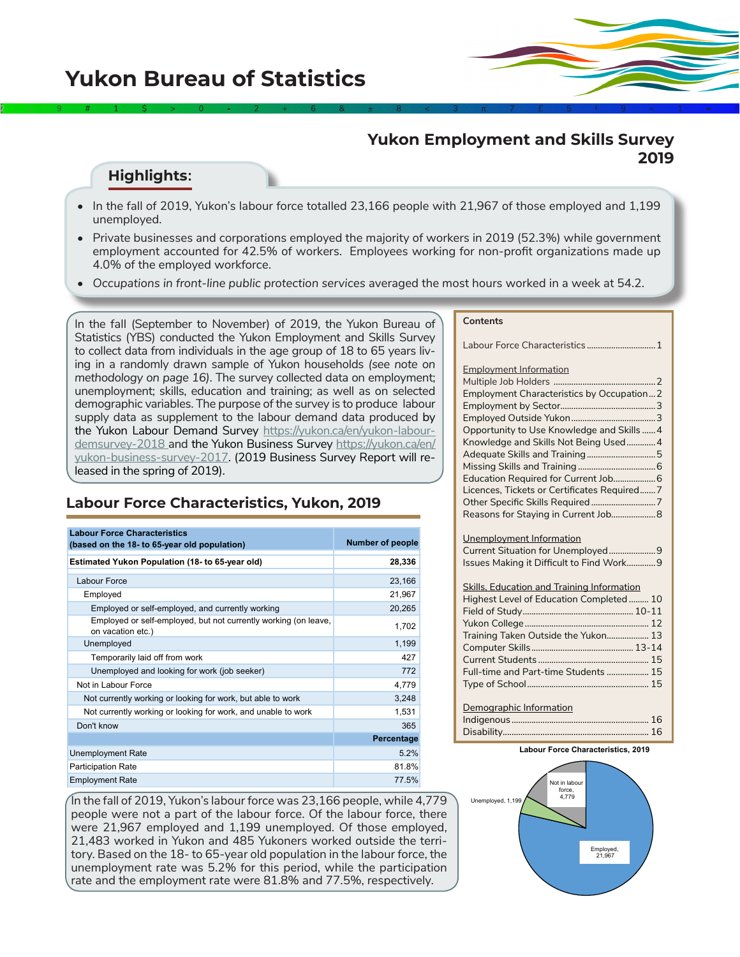## **Yukon Employment and Skills Survey 2019**

## **Highlights:**

• In the fall of 2019, Yukon's labour force totalled 23,166 people with 21,967 of those employed and 1,199 unemployed.

2  $\rightarrow$  9  $\rightarrow$  4  $\rightarrow$  1  $\rightarrow$  5  $\rightarrow$  2  $\rightarrow$  4  $\rightarrow$  6  $\rightarrow$  8  $\rightarrow$  8  $\rightarrow$  3  $\rightarrow$  7  $\rightarrow$  5  $\rightarrow$  4  $\rightarrow$  9  $\rightarrow$  1 $\rightarrow$  6  $\rightarrow$  6

- Private businesses and corporations employed the majority of workers in 2019 (52.3%) while government employment accounted for 42.5% of workers. Employees working for non-profit organizations made up 4.0% of the employed workforce.
- Occupations in front-line public protection services averaged the most hours worked in a week at 54.2.

In the fall (September to November) of 2019, the Yukon Bureau of Statistics (YBS) conducted the Yukon Employment and Skills Survey to collect data from individuals in the age group of 18 to 65 years living in a randomly drawn sample of Yukon households *(see note on methodology on page 16)*. The survey collected data on employment; unemployment; skills, education and training; as well as on selected demographic variables. The purpose of the survey is to produce labour supply data as supplement to the labour demand data produced by the Yukon Labour Demand Survey [https://yukon.ca/en/yukon-labour](https://yukon.ca/en/yukon-labour-demsurvey-2018)[demsurvey-2018](https://yukon.ca/en/yukon-labour-demsurvey-2018) and the Yukon Business Survey [https://yukon.ca/en/](https://yukon.ca/en/yukon-business-survey-2017) [yukon-business-survey-2017.](https://yukon.ca/en/yukon-business-survey-2017) (2019 Business Survey Report will released in the spring of 2019).

## **Labour Force Characteristics, Yukon, 2019**

| <b>Labour Force Characteristics</b><br>(based on the 18- to 65-year old population)  | <b>Number of people</b> |
|--------------------------------------------------------------------------------------|-------------------------|
| Estimated Yukon Population (18- to 65-year old)                                      | 28,336                  |
| Labour Force                                                                         | 23,166                  |
| Employed                                                                             | 21,967                  |
| Employed or self-employed, and currently working                                     | 20,265                  |
| Employed or self-employed, but not currently working (on leave,<br>on vacation etc.) | 1,702                   |
| Unemployed                                                                           | 1,199                   |
| Temporarily laid off from work                                                       | 427                     |
| Unemployed and looking for work (job seeker)                                         | 772                     |
| Not in Labour Force                                                                  | 4,779                   |
| Not currently working or looking for work, but able to work                          | 3,248                   |
| Not currently working or looking for work, and unable to work                        | 1,531                   |
| Don't know                                                                           | 365                     |
|                                                                                      | Percentage              |
| <b>Unemployment Rate</b>                                                             | 5.2%                    |
| <b>Participation Rate</b>                                                            | 81.8%                   |
| <b>Employment Rate</b>                                                               | 77.5%                   |

In the fall of 2019, Yukon's labour force was 23,166 people, while 4,779 people were not a part of the labour force. Of the labour force, there were 21,967 employed and 1,199 unemployed. Of those employed, 21,483 worked in Yukon and 485 Yukoners worked outside the territory. Based on the 18- to 65-year old population in the labour force, the unemployment rate was 5.2% for this period, while the participation rate and the employment rate were 81.8% and 77.5%, respectively.

#### **Contents**

Labour Force Characteristics ...............................1 Employment Information Multiple Job Holders ........... Employment Characteristics by Occupation...2 Employment by Sector...........................................3 Employed Outside Yukon......................................3 Opportunity to Use Knowledge and Skills ......4 Knowledge and Skills Not Being Used.............4 Adequate Skills and Training...............................5 Missing Skills and Training ...................................6 Education Required for Current Job...................6 Licences, Tickets or Certificates Required.......7 Other Specific Skills Required .............................7 Reasons for Staying in Current Job....................8 Unemployment Information

| Issues Making it Difficult to Find Work9 |  |
|------------------------------------------|--|

#### Skills, Education and Training Information

| Highest Level of Education Completed 10 |  |
|-----------------------------------------|--|
|                                         |  |
|                                         |  |
| Training Taken Outside the Yukon 13     |  |
|                                         |  |
|                                         |  |
| Full-time and Part-time Students  15    |  |
|                                         |  |
|                                         |  |

#### Demographic Information

Indigenous [..............................................................](#page-2-0) 16 Disabilit[y..................................................................](#page-4-0) 16

#### **Labour Force Characteristics, 2019**

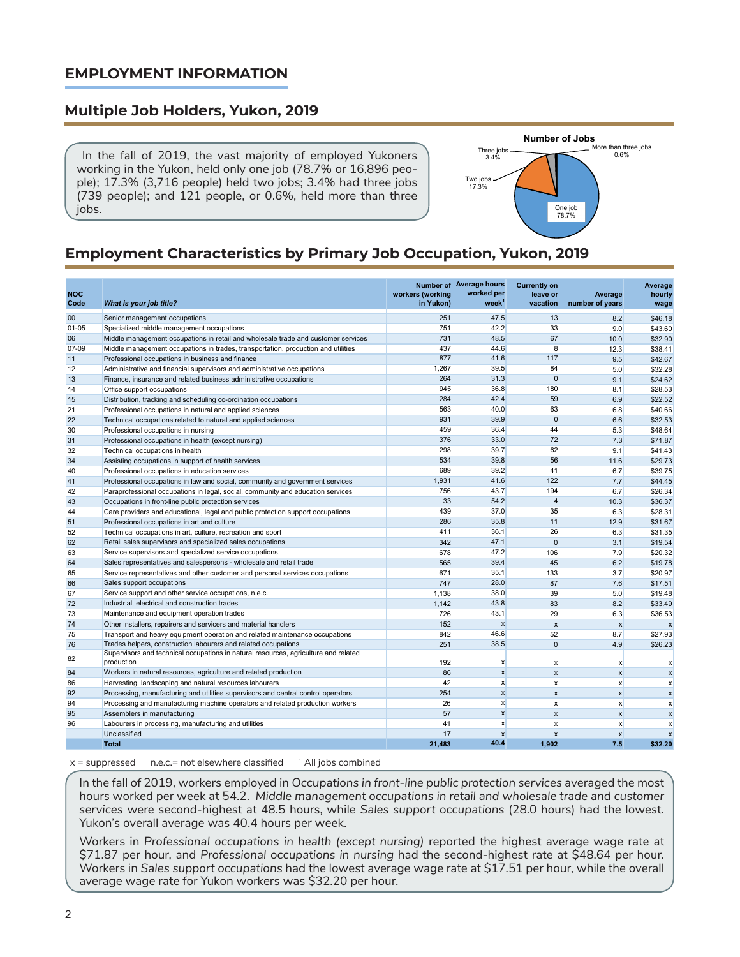### **EMPLOYMENT INFORMATION**

#### **Multiple Job Holders, Yukon, 2019**

 In the fall of 2019, the vast majority of employed Yukoners working in the Yukon, held only one job (78.7% or 16,896 people); 17.3% (3,716 people) held two jobs; 3.4% had three jobs (739 people); and 121 people, or 0.6%, held more than three jobs.



# **Employment Characteristics by Primary Job Occupation, Yukon, 2019**

| <b>NOC</b><br>Code | What is your job title?                                                                           | workers (working<br>in Yukon) | Number of Average hours<br>worked per<br>week <sup>1</sup> | <b>Currently on</b><br>leave or<br>vacation | Average<br>number of years | Average<br>hourly<br>wage |
|--------------------|---------------------------------------------------------------------------------------------------|-------------------------------|------------------------------------------------------------|---------------------------------------------|----------------------------|---------------------------|
| 00                 | Senior management occupations                                                                     | 251                           | 47.5                                                       | 13                                          | 8.2                        | \$46.18                   |
| $01 - 05$          | Specialized middle management occupations                                                         | 751                           | 42.2                                                       | 33                                          | 9.0                        | \$43.60                   |
| 06                 | Middle management occupations in retail and wholesale trade and customer services                 | 731                           | 48.5                                                       | 67                                          | 10.0                       | \$32.90                   |
| 07-09              | Middle management occupations in trades, transportation, production and utilities                 | 437                           | 44.6                                                       | 8                                           | 12.3                       | \$38.41                   |
| 11                 | Professional occupations in business and finance                                                  | 877                           | 41.6                                                       | 117                                         | 9.5                        | \$42.67                   |
| 12                 | Administrative and financial supervisors and administrative occupations                           | 1,267                         | 39.5                                                       | 84                                          | 5.0                        | \$32.28                   |
| 13                 | Finance, insurance and related business administrative occupations                                | 264                           | 31.3                                                       | $\overline{0}$                              | 9.1                        | \$24.62                   |
| 14                 | Office support occupations                                                                        | 945                           | 36.8                                                       | 180                                         | 8.1                        | \$28.53                   |
| 15                 | Distribution, tracking and scheduling co-ordination occupations                                   | 284                           | 42.4                                                       | 59                                          | 6.9                        | \$22.52                   |
| 21                 | Professional occupations in natural and applied sciences                                          | 563                           | 40.0                                                       | 63                                          | 6.8                        | \$40.66                   |
| 22                 | Technical occupations related to natural and applied sciences                                     | 931                           | 39.9                                                       | $\overline{0}$                              | 6.6                        | \$32.53                   |
| 30                 | Professional occupations in nursing                                                               | 459                           | 36.4                                                       | 44                                          | 5.3                        | \$48.64                   |
| 31                 | Professional occupations in health (except nursing)                                               | 376                           | 33.0                                                       | 72                                          | 7.3                        | \$71.87                   |
| 32                 | Technical occupations in health                                                                   | 298                           | 39.7                                                       | 62                                          | 9.1                        | \$41.43                   |
| 34                 | Assisting occupations in support of health services                                               | 534                           | 39.8                                                       | 56                                          | 11.6                       | \$29.73                   |
| 40                 | Professional occupations in education services                                                    | 689                           | 39.2                                                       | 41                                          | 6.7                        | \$39.75                   |
| 41                 | Professional occupations in law and social, community and government services                     | 1.931                         | 41.6                                                       | 122                                         | 7.7                        | \$44.45                   |
| 42                 | Paraprofessional occupations in legal, social, community and education services                   | 756                           | 43.7                                                       | 194                                         | 6.7                        | \$26.34                   |
| 43                 | Occupations in front-line public protection services                                              | 33                            | 54.2                                                       | $\overline{4}$                              | 10.3                       | \$36.37                   |
| 44                 | Care providers and educational, legal and public protection support occupations                   | 439                           | 37.0                                                       | 35                                          | 6.3                        | \$28.31                   |
| 51                 | Professional occupations in art and culture                                                       | 286                           | 35.8                                                       | 11                                          | 12.9                       | \$31.67                   |
| 52                 | Technical occupations in art, culture, recreation and sport                                       | 411                           | 36.1                                                       | 26                                          | 6.3                        | \$31.35                   |
| 62                 | Retail sales supervisors and specialized sales occupations                                        | 342                           | 47.1                                                       | $\overline{0}$                              | 3.1                        | \$19.54                   |
| 63                 | Service supervisors and specialized service occupations                                           | 678                           | 47.2                                                       | 106                                         | 7.9                        | \$20.32                   |
| 64                 | Sales representatives and salespersons - wholesale and retail trade                               | 565                           | 39.4                                                       | 45                                          | 6.2                        | \$19.78                   |
| 65                 | Service representatives and other customer and personal services occupations                      | 671                           | 35.1                                                       | 133                                         | 3.7                        | \$20.97                   |
| 66                 | Sales support occupations                                                                         | 747                           | 28.0                                                       | 87                                          | 7.6                        | \$17.51                   |
| 67                 | Service support and other service occupations, n.e.c.                                             | 1.138                         | 38.0                                                       | 39                                          | 5.0                        | \$19.48                   |
| 72                 | Industrial, electrical and construction trades                                                    | 1,142                         | 43.8                                                       | 83                                          | 8.2                        | \$33.49                   |
| 73                 | Maintenance and equipment operation trades                                                        | 726                           | 43.1                                                       | 29                                          | 6.3                        | \$36.53                   |
| 74                 | Other installers, repairers and servicers and material handlers                                   | 152                           | $\boldsymbol{x}$                                           | $\boldsymbol{x}$                            | $\boldsymbol{x}$           | $\boldsymbol{\mathsf{x}}$ |
| 75                 | Transport and heavy equipment operation and related maintenance occupations                       | 842                           | 46.6                                                       | 52                                          | 8.7                        | \$27.93                   |
| 76                 | Trades helpers, construction labourers and related occupations                                    | 251                           | 38.5                                                       | $\overline{0}$                              | 4.9                        | \$26.23                   |
| 82                 | Supervisors and technical occupations in natural resources, agriculture and related<br>production | 192                           | $\boldsymbol{\mathsf{x}}$                                  | $\boldsymbol{x}$                            | $\mathsf{x}$               | x                         |
| 84                 | Workers in natural resources, agriculture and related production                                  | 86                            | $\mathsf{x}$                                               | $\mathbf{x}$                                | $\mathbf{x}$               | $\boldsymbol{\mathsf{x}}$ |
| 86                 | Harvesting, landscaping and natural resources labourers                                           | 42                            | $\mathbf{x}$                                               | $\boldsymbol{x}$                            | $\mathsf{x}$               | X                         |
| 92                 | Processing, manufacturing and utilities supervisors and central control operators                 | 254                           | $\boldsymbol{x}$                                           | $\boldsymbol{x}$                            | $\boldsymbol{x}$           | $\boldsymbol{\mathsf{x}}$ |
| 94                 | Processing and manufacturing machine operators and related production workers                     | 26                            | $\boldsymbol{x}$                                           | $\boldsymbol{x}$                            | $\boldsymbol{x}$           | $\boldsymbol{x}$          |
| 95                 | Assemblers in manufacturing                                                                       | 57                            | $\boldsymbol{x}$                                           | $\boldsymbol{x}$                            | $\boldsymbol{x}$           | $\boldsymbol{\mathsf{x}}$ |
| 96                 | Labourers in processing, manufacturing and utilities                                              | 41                            | $\boldsymbol{x}$                                           | $\boldsymbol{\mathsf{x}}$                   | $\mathsf{x}$               | $\boldsymbol{\mathsf{x}}$ |
|                    | Unclassified                                                                                      | 17                            | $\mathbf{x}$                                               | $\boldsymbol{x}$                            | $\boldsymbol{x}$           | $\boldsymbol{\mathsf{x}}$ |
|                    | <b>Total</b>                                                                                      | 21.483                        | 40.4                                                       | 1.902                                       | 7.5                        | \$32.20                   |

 $x =$  suppressed n.e.c.= not elsewhere classified  $1$  All jobs combined

In the fall of 2019, workers employed in *Occupations in front-line public protection services* averaged the most hours worked per week at 54.2. *Middle management occupations in retail and wholesale trade and customer services* were second-highest at 48.5 hours, while *Sales support occupations* (28.0 hours) had the lowest. Yukon's overall average was 40.4 hours per week.

Workers in *Professional occupations in health (except nursing)* reported the highest average wage rate at \$71.87 per hour, and *Professional occupations in nursing* had the second-highest rate at \$48.64 per hour. Workers in *Sales support occupations* had the lowest average wage rate at \$17.51 per hour, while the overall average wage rate for Yukon workers was \$32.20 per hour.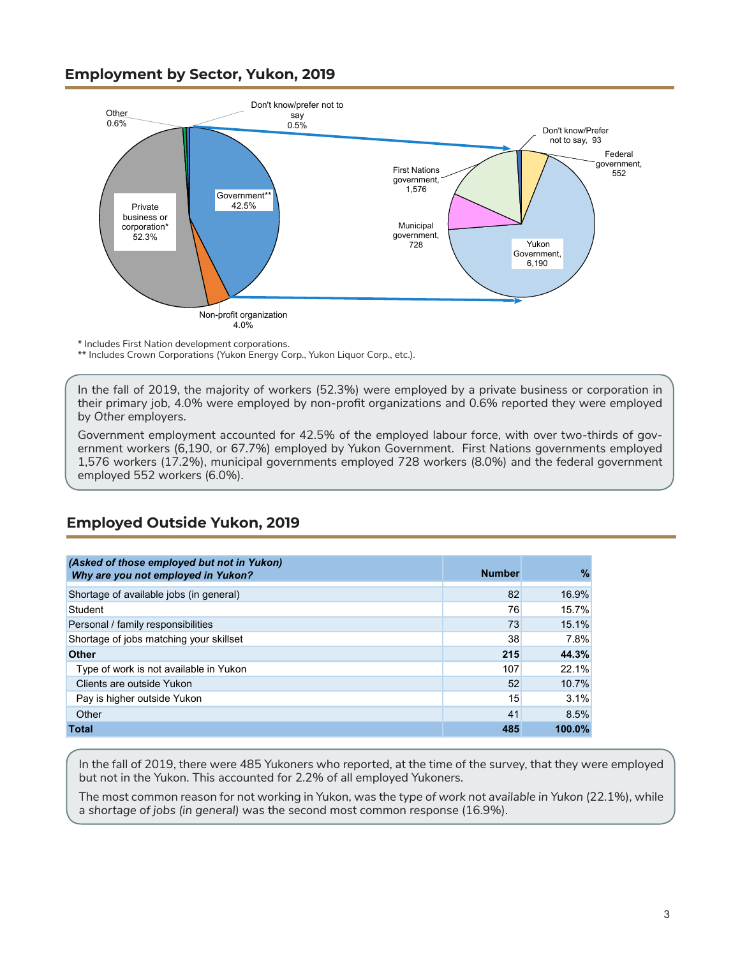## <span id="page-2-0"></span>**Employment by Sector, Yukon, 2019**



\* Includes First Nation development corporations.

\*\* Includes Crown Corporations (Yukon Energy Corp., Yukon Liquor Corp., etc.).

In the fall of 2019, the majority of workers (52.3%) were employed by a private business or corporation in their primary job, 4.0% were employed by non-profit organizations and 0.6% reported they were employed by *Other* employers.

Government employment accounted for 42.5% of the employed labour force, with over two-thirds of government workers (6,190, or 67.7%) employed by Yukon Government. First Nations governments employed 1,576 workers (17.2%), municipal governments employed 728 workers (8.0%) and the federal government employed 552 workers (6.0%).

| (Asked of those employed but not in Yukon) |               |           |
|--------------------------------------------|---------------|-----------|
| Why are you not employed in Yukon?         | <b>Number</b> | $\%$      |
|                                            |               |           |
| Shortage of available jobs (in general)    | 82            | 16.9%     |
| Student                                    | 76            | 15.7%     |
| Personal / family responsibilities         | 73            | 15.1%     |
| Shortage of jobs matching your skillset    | 38            | 7.8%      |
| <b>Other</b>                               | 215           | 44.3%     |
| Type of work is not available in Yukon     | 107           | 22.1%     |
| Clients are outside Yukon                  | 52            | 10.7%     |
| Pay is higher outside Yukon                | 15            | 3.1%      |
| Other                                      | 41            | 8.5%      |
| <b>Total</b>                               | 485           | $100.0\%$ |

## **Employed Outside Yukon, 2019**

In the fall of 2019, there were 485 Yukoners who reported, at the time of the survey, that they were employed but not in the Yukon. This accounted for 2.2% of all employed Yukoners.

The most common reason for not working in Yukon, was the *type of work not available in Yukon* (22.1%), while a *shortage of jobs (in general)* was the second most common response (16.9%).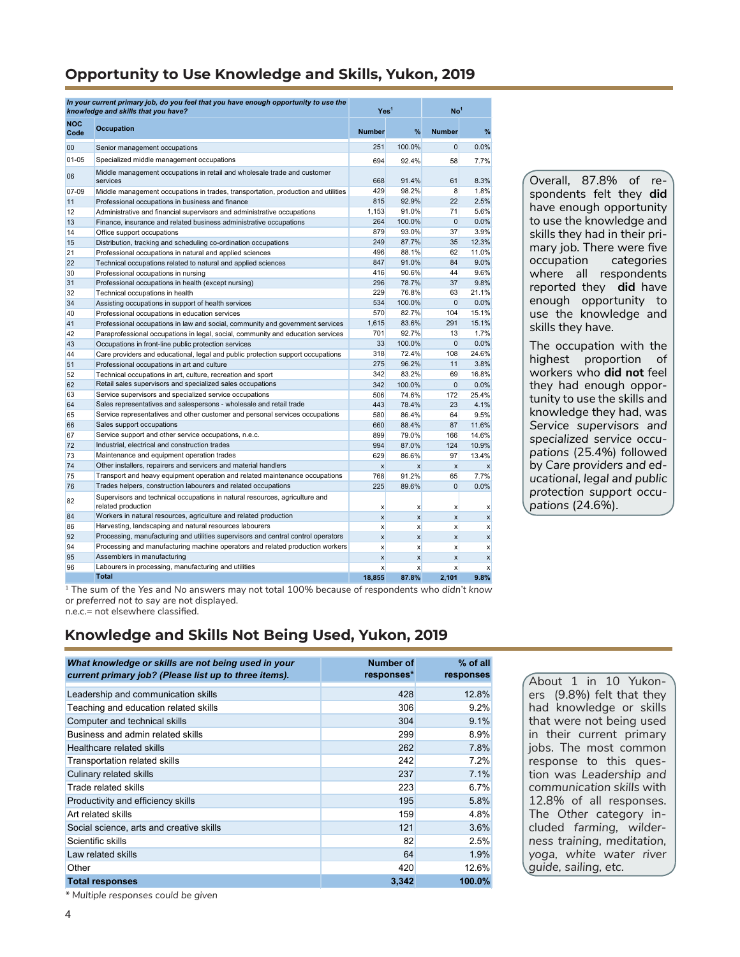## **Opportunity to Use Knowledge and Skills, Yukon, 2019**

|                    | In your current primary job, do you feel that you have enough opportunity to use the<br>knowledge and skills that you have?                    | Yes <sup>1</sup> |                           | No <sup>1</sup> |                  |
|--------------------|------------------------------------------------------------------------------------------------------------------------------------------------|------------------|---------------------------|-----------------|------------------|
| <b>NOC</b><br>Code | <b>Occupation</b>                                                                                                                              | <b>Number</b>    | %                         | <b>Number</b>   | %                |
| 00                 | Senior management occupations                                                                                                                  | 251              | 100.0%                    | $\Omega$        | 0.0%             |
| $01 - 05$          | Specialized middle management occupations                                                                                                      | 694              | 92.4%                     | 58              | 7.7%             |
| 06                 | Middle management occupations in retail and wholesale trade and customer<br>services                                                           | 668              | 91.4%                     | 61              | 8.3%             |
| $07-09$            | Middle management occupations in trades, transportation, production and utilities                                                              | 429              | 98.2%                     | 8               | 1.8%             |
| 11                 | Professional occupations in business and finance                                                                                               | 815              | 92.9%                     | 22              | 2.5%             |
| 12                 | Administrative and financial supervisors and administrative occupations                                                                        | 1.153            | 91.0%                     | 71              | 5.6%             |
| 13                 | Finance, insurance and related business administrative occupations                                                                             | 264              | 100.0%                    | $\Omega$        | 0.0%             |
| 14                 | Office support occupations                                                                                                                     | 879              | 93.0%                     | 37              | 3.9%             |
| 15                 | Distribution, tracking and scheduling co-ordination occupations                                                                                | 249              | 87.7%                     | 35              | 12.3%            |
| 21                 | Professional occupations in natural and applied sciences                                                                                       | 496              | 88.1%                     | 62              | 11.0%            |
| 22                 | Technical occupations related to natural and applied sciences                                                                                  | 847              | 91.0%                     | 84              | 9.0%             |
| 30                 | Professional occupations in nursing                                                                                                            | 416              | 90.6%                     | 44              | 9.6%             |
| 31                 | Professional occupations in health (except nursing)                                                                                            | 296              | 78.7%                     | 37              | 9.8%             |
| 32                 | Technical occupations in health                                                                                                                | 229              | 76.8%                     | 63              | 21.1%            |
| 34                 | Assisting occupations in support of health services                                                                                            | 534              | 100.0%                    | $\mathbf 0$     | 0.0%             |
| 40                 | Professional occupations in education services                                                                                                 | 570              | 82.7%                     | 104             | 15.1%            |
| 41                 | Professional occupations in law and social, community and government services                                                                  | 1,615            | 83.6%                     | 291             | 15.1%            |
| 42                 | Paraprofessional occupations in legal, social, community and education services                                                                | 701              | 92.7%                     | 13              | 1.7%             |
| 43                 | Occupations in front-line public protection services                                                                                           | 33               | 100.0%                    | $\mathbf{0}$    | 0.0%             |
| 44                 | Care providers and educational, legal and public protection support occupations                                                                | 318              | 72.4%                     | 108             | 24.6%            |
| 51                 | Professional occupations in art and culture                                                                                                    | 275              | 96.2%                     | 11              | 3.8%             |
| 52                 | Technical occupations in art, culture, recreation and sport                                                                                    | 342              | 83.2%                     | 69              | 16.8%            |
| 62                 | Retail sales supervisors and specialized sales occupations                                                                                     | 342              | 100.0%                    | $\mathbf{0}$    | 0.0%             |
| 63                 | Service supervisors and specialized service occupations                                                                                        | 506              | 74.6%                     | 172             | 25.4%            |
| 64                 | Sales representatives and salespersons - wholesale and retail trade                                                                            | 443              | 78.4%                     | 23              | 4.1%             |
| 65                 | Service representatives and other customer and personal services occupations                                                                   | 580              | 86.4%                     | 64              | 9.5%             |
| 66                 | Sales support occupations                                                                                                                      | 660              | 88.4%                     | 87              | 11.6%            |
| 67                 | Service support and other service occupations, n.e.c.                                                                                          | 899              | 79.0%                     | 166             | 14.6%            |
| 72                 | Industrial, electrical and construction trades                                                                                                 | 994              | 87.0%                     | 124             | 10.9%            |
| 73                 | Maintenance and equipment operation trades                                                                                                     | 629              | 86.6%                     | 97              | 13.4%            |
| 74<br>75           | Other installers, repairers and servicers and material handlers<br>Transport and heavy equipment operation and related maintenance occupations | $\mathbf{x}$     | $\boldsymbol{\mathsf{x}}$ | $\mathsf{x}$    | $\mathbf{x}$     |
| 76                 | Trades helpers, construction labourers and related occupations                                                                                 | 768<br>225       | 91.2%<br>89.6%            | 65<br>$\Omega$  | 7.7%<br>0.0%     |
|                    |                                                                                                                                                |                  |                           |                 |                  |
| 82                 | Supervisors and technical occupations in natural resources, agriculture and<br>related production                                              | $\mathsf{x}$     | X                         | x               | X                |
| 84                 | Workers in natural resources, agriculture and related production                                                                               | $\mathbf{x}$     | $\mathbf{x}$              | $\mathsf{x}$    | $\boldsymbol{x}$ |
| 86                 | Harvesting, landscaping and natural resources labourers                                                                                        | $\mathsf{x}$     | $\mathbf{x}$              | x               | x                |
| 92                 | Processing, manufacturing and utilities supervisors and central control operators                                                              | $\mathbf{x}$     | $\mathbf{x}$              | X               | x                |
| 94                 | Processing and manufacturing machine operators and related production workers                                                                  | $\mathbf{x}$     | $\boldsymbol{\mathsf{x}}$ | x               | $\mathsf{x}$     |
| 95                 | Assemblers in manufacturing                                                                                                                    | $\boldsymbol{x}$ | $\mathsf{x}$              | X               | x                |
| 96                 | Labourers in processing, manufacturing and utilities                                                                                           | $\mathbf{x}$     | $\mathsf{x}$              | X               | x                |
|                    | <b>Total</b>                                                                                                                                   | 18.855           | 87.8%                     | 2.101           | 9.8%             |

Overall, 87.8% of respondents felt they **did** have enough opportunity to use the knowledge and skills they had in their primary job. There were five<br>occupation categories occupation where all respondents reported they **did** have enough opportunity to use the knowledge and skills they have.

The occupation with the highest proportion of workers who **did not** feel they had enough opportunity to use the skills and knowledge they had, was *Service supervisors and specialized service occupations* (25.4%) followed by *Care providers and educational, legal and public protection support occupations* (24.6%).

1 The sum of the *Yes* and *No* answers may not total 100% because of respondents who *didn't know*  or *preferred not to say* are not displayed.

 $n \cdot c = \text{not}$  elsewhere classified.

#### **Knowledge and Skills Not Being Used, Yukon, 2019**

| What knowledge or skills are not being used in your<br>current primary job? (Please list up to three items). | Number of<br>responses* | $%$ of all<br>responses |
|--------------------------------------------------------------------------------------------------------------|-------------------------|-------------------------|
| Leadership and communication skills                                                                          | 428                     | 12.8%                   |
| Teaching and education related skills                                                                        | 306                     | 9.2%                    |
| Computer and technical skills                                                                                | 304                     | 9.1%                    |
| Business and admin related skills                                                                            | 299                     | 8.9%                    |
| Healthcare related skills                                                                                    | 262                     | 7.8%                    |
| Transportation related skills                                                                                | 242                     | 7.2%                    |
| Culinary related skills                                                                                      | 237                     | 7.1%                    |
| Trade related skills                                                                                         | 223                     | 6.7%                    |
| Productivity and efficiency skills                                                                           | 195                     | 5.8%                    |
| Art related skills                                                                                           | 159                     | 4.8%                    |
| Social science, arts and creative skills                                                                     | 121                     | 3.6%                    |
| Scientific skills                                                                                            | 82                      | 2.5%                    |
| Law related skills                                                                                           | 64                      | 1.9%                    |
| Other                                                                                                        | 420                     | 12.6%                   |
| <b>Total responses</b>                                                                                       | 3,342                   | 100.0%                  |

About 1 in 10 Yukoners (9.8%) felt that they had knowledge or skills that were not being used in their current primary jobs. The most common response to this question was *Leadership and communication skills* with 12.8% of all responses. The *Other* category included *farming, wilderness training, meditation, yoga, white water river guide, sailing, etc.*

*\* Multiple responses could be given*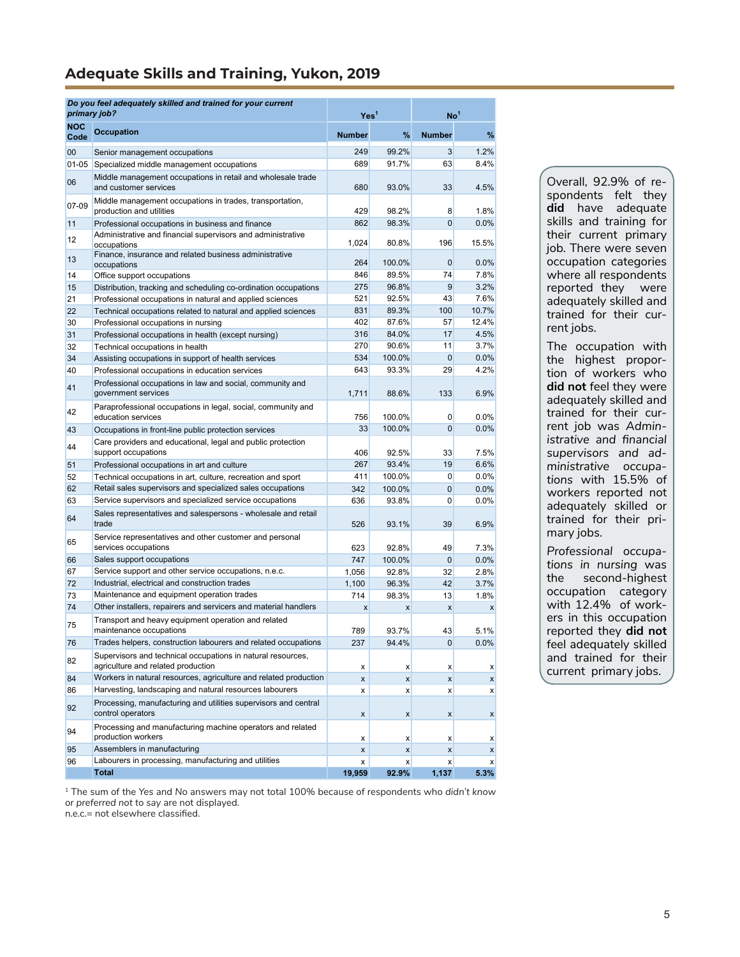## <span id="page-4-0"></span>**Adequate Skills and Training, Yukon, 2019**

| primary job?       | Do you feel adequately skilled and trained for your current                                       | Yes <sup>1</sup> |              | No <sup>1</sup>    |                  |
|--------------------|---------------------------------------------------------------------------------------------------|------------------|--------------|--------------------|------------------|
| <b>NOC</b><br>Code | <b>Occupation</b>                                                                                 | <b>Number</b>    | %            | <b>Number</b>      | %                |
| 00                 | Senior management occupations                                                                     | 249              | 99.2%        | 3                  | 1.2%             |
| $01 - 05$          | Specialized middle management occupations                                                         | 689              | 91.7%        | 63                 | 8.4%             |
| 06                 | Middle management occupations in retail and wholesale trade<br>and customer services              | 680              | 93.0%        | 33                 | 4.5%             |
| 07-09              | Middle management occupations in trades, transportation,<br>production and utilities              | 429              | 98.2%        | 8                  | 1.8%             |
| 11                 | Professional occupations in business and finance                                                  | 862              | 98.3%        | 0                  | 0.0%             |
| 12                 | Administrative and financial supervisors and administrative<br>occupations                        | 1,024            | 80.8%        | 196                | 15.5%            |
| 13                 | Finance, insurance and related business administrative<br>occupations                             | 264              | 100.0%       | $\mathbf{0}$       | 0.0%             |
| 14                 | Office support occupations                                                                        | 846              | 89.5%        | 74                 | 7.8%             |
| 15                 | Distribution, tracking and scheduling co-ordination occupations                                   | 275              | 96.8%        | 9                  | 3.2%             |
| 21                 | Professional occupations in natural and applied sciences                                          | 521              | 92.5%        | 43                 | 7.6%             |
| 22                 | Technical occupations related to natural and applied sciences                                     | 831              | 89.3%        | 100                | 10.7%            |
| 30                 | Professional occupations in nursing                                                               | 402              | 87.6%        | 57                 | 12.4%            |
| 31                 | Professional occupations in health (except nursing)                                               | 316              | 84.0%        | 17                 | 4.5%             |
| 32                 | Technical occupations in health                                                                   | 270              | 90.6%        | 11                 | 3.7%             |
| 34                 | Assisting occupations in support of health services                                               | 534              | 100.0%       | $\mathbf{0}$       | 0.0%             |
| 40                 | Professional occupations in education services                                                    | 643              | 93.3%        | 29                 | 4.2%             |
| 41                 | Professional occupations in law and social, community and<br>government services                  | 1,711            | 88.6%        | 133                | 6.9%             |
| 42                 | Paraprofessional occupations in legal, social, community and<br>education services                | 756              | 100.0%       | 0                  | 0.0%             |
| 43                 | Occupations in front-line public protection services                                              | 33               | 100.0%       | $\mathbf 0$        | 0.0%             |
| 44                 | Care providers and educational, legal and public protection<br>support occupations                | 406              | 92.5%        | 33                 | 7.5%             |
| 51                 | Professional occupations in art and culture                                                       | 267              | 93.4%        | 19                 | 6.6%             |
| 52                 | Technical occupations in art, culture, recreation and sport                                       | 411              | 100.0%       | 0                  | 0.0%             |
| 62                 | Retail sales supervisors and specialized sales occupations                                        | 342              | 100.0%       | $\mathbf 0$        | 0.0%             |
| 63                 | Service supervisors and specialized service occupations                                           | 636              | 93.8%        | 0                  | 0.0%             |
| 64                 | Sales representatives and salespersons - wholesale and retail<br>trade                            | 526              | 93.1%        | 39                 | 6.9%             |
| 65                 | Service representatives and other customer and personal<br>services occupations                   | 623              | 92.8%        | 49                 | 7.3%             |
| 66                 | Sales support occupations                                                                         | 747              | 100.0%       | 0                  | 0.0%             |
| 67                 | Service support and other service occupations, n.e.c.                                             | 1.056            | 92.8%        | 32                 | 2.8%             |
| 72                 | Industrial, electrical and construction trades                                                    | 1,100            | 96.3%        | 42                 | 3.7%             |
| 73                 | Maintenance and equipment operation trades                                                        | 714              | 98.3%        | 13                 | 1.8%             |
| 74                 | Other installers, repairers and servicers and material handlers                                   | x                | x            | $\pmb{\mathsf{x}}$ | $\boldsymbol{x}$ |
| 75                 | Transport and heavy equipment operation and related<br>maintenance occupations                    | 789              | 93.7%        | 43                 | 5.1%             |
| 76                 | Trades helpers, construction labourers and related occupations                                    | 237              | 94.4%        | $\overline{0}$     | $0.0\%$          |
| 82                 | Supervisors and technical occupations in natural resources,<br>agriculture and related production | x                | X            | $\boldsymbol{x}$   | X                |
| 84                 | Workers in natural resources, agriculture and related production                                  | x                | $\mathsf{x}$ | x                  | $\boldsymbol{x}$ |
| 86                 | Harvesting, landscaping and natural resources labourers                                           | x                | X            | x                  | $\boldsymbol{x}$ |
| 92                 | Processing, manufacturing and utilities supervisors and central<br>control operators              | x                | x            | $\boldsymbol{x}$   | x                |
| 94                 | Processing and manufacturing machine operators and related<br>production workers                  | x                | X            | x                  | X                |
| 95                 | Assemblers in manufacturing                                                                       | x                | x            | x                  | x                |
| 96                 | Labourers in processing, manufacturing and utilities                                              | x                | x            | $\boldsymbol{x}$   | $\boldsymbol{x}$ |
|                    | <b>Total</b>                                                                                      | 19,959           | 92.9%        | 1,137              | 5.3%             |

Overall, 92.9% of respondents felt they **did** have adequate skills and training for their current primary job. There were seven occupation categories where all respondents reported they were adequately skilled and trained for their current jobs.

The occupation with the highest proportion of workers who **did not** feel they were adequately skilled and trained for their current job was *Administrative and financial supervisors and administrative occupations* with 15.5% of workers reported not adequately skilled or trained for their primary jobs.

*Professional occupations in nursing* was second-highest occupation category with 12.4% of workers in this occupation reported they **did not** feel adequately skilled and trained for their current primary jobs.

1 The sum of the *Yes* and *No* answers may not total 100% because of respondents who *didn't know*  or *preferred not to say* are not displayed.

n.e.c.= not elsewhere classified.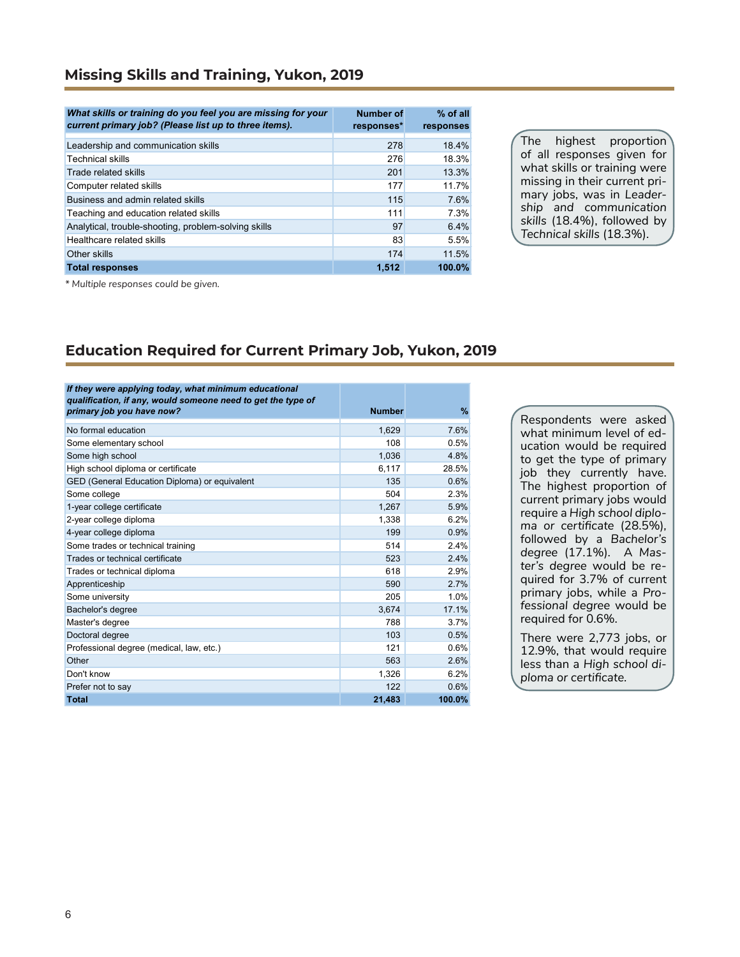#### **Missing Skills and Training, Yukon, 2019**

| What skills or training do you feel you are missing for your<br>current primary job? (Please list up to three items). | <b>Number of</b><br>responses* | % of all<br>responses |
|-----------------------------------------------------------------------------------------------------------------------|--------------------------------|-----------------------|
| Leadership and communication skills                                                                                   | 278                            | 18.4%                 |
| <b>Technical skills</b>                                                                                               | 276                            | 18.3%                 |
| Trade related skills                                                                                                  | 201                            | 13.3%                 |
| Computer related skills                                                                                               | 177                            | 11.7%                 |
| Business and admin related skills                                                                                     | 115                            | 7.6%                  |
| Teaching and education related skills                                                                                 | 111                            | 7.3%                  |
| Analytical, trouble-shooting, problem-solving skills                                                                  | 97                             | 6.4%                  |
| Healthcare related skills                                                                                             | 83                             | 5.5%                  |
| Other skills                                                                                                          | 174                            | 11.5%                 |
| <b>Total responses</b>                                                                                                | 1.512                          | 100.0%                |

The highest proportion of all responses given for what skills or training were missing in their current primary jobs, was in *Leadership and communication skills* (18.4%), followed by *Technical skills* (18.3%).

*\* Multiple responses could be given.*

#### **Education Required for Current Primary Job, Yukon, 2019**

| If they were applying today, what minimum educational<br>qualification, if any, would someone need to get the type of |               |        |
|-----------------------------------------------------------------------------------------------------------------------|---------------|--------|
| primary job you have now?                                                                                             | <b>Number</b> | %      |
| No formal education                                                                                                   | 1,629         | 7.6%   |
| Some elementary school                                                                                                | 108           | 0.5%   |
| Some high school                                                                                                      | 1,036         | 4.8%   |
| High school diploma or certificate                                                                                    | 6,117         | 28.5%  |
| GED (General Education Diploma) or equivalent                                                                         | 135           | 0.6%   |
| Some college                                                                                                          | 504           | 2.3%   |
| 1-year college certificate                                                                                            | 1,267         | 5.9%   |
| 2-year college diploma                                                                                                | 1,338         | 6.2%   |
| 4-year college diploma                                                                                                | 199           | 0.9%   |
| Some trades or technical training                                                                                     | 514           | 2.4%   |
| Trades or technical certificate                                                                                       | 523           | 2.4%   |
| Trades or technical diploma                                                                                           | 618           | 2.9%   |
| Apprenticeship                                                                                                        | 590           | 2.7%   |
| Some university                                                                                                       | 205           | 1.0%   |
| Bachelor's degree                                                                                                     | 3.674         | 17.1%  |
| Master's degree                                                                                                       | 788           | 3.7%   |
| Doctoral degree                                                                                                       | 103           | 0.5%   |
| Professional degree (medical, law, etc.)                                                                              | 121           | 0.6%   |
| Other                                                                                                                 | 563           | 2.6%   |
| Don't know                                                                                                            | 1,326         | 6.2%   |
| Prefer not to say                                                                                                     | 122           | 0.6%   |
| <b>Total</b>                                                                                                          | 21,483        | 100.0% |

Respondents were asked what minimum level of education would be required to get the type of primary job they currently have. The highest proportion of current primary jobs would require a *High school diploma or certificate* (28.5%)*,* followed by a *Bachelor's degree* (17.1%). A *Master's degree* would be required for 3.7% of current primary jobs, while a *Professional degree* would be required for 0.6%.

There were 2,773 jobs, or 12.9%, that would require less than a *High school diploma or certificate.*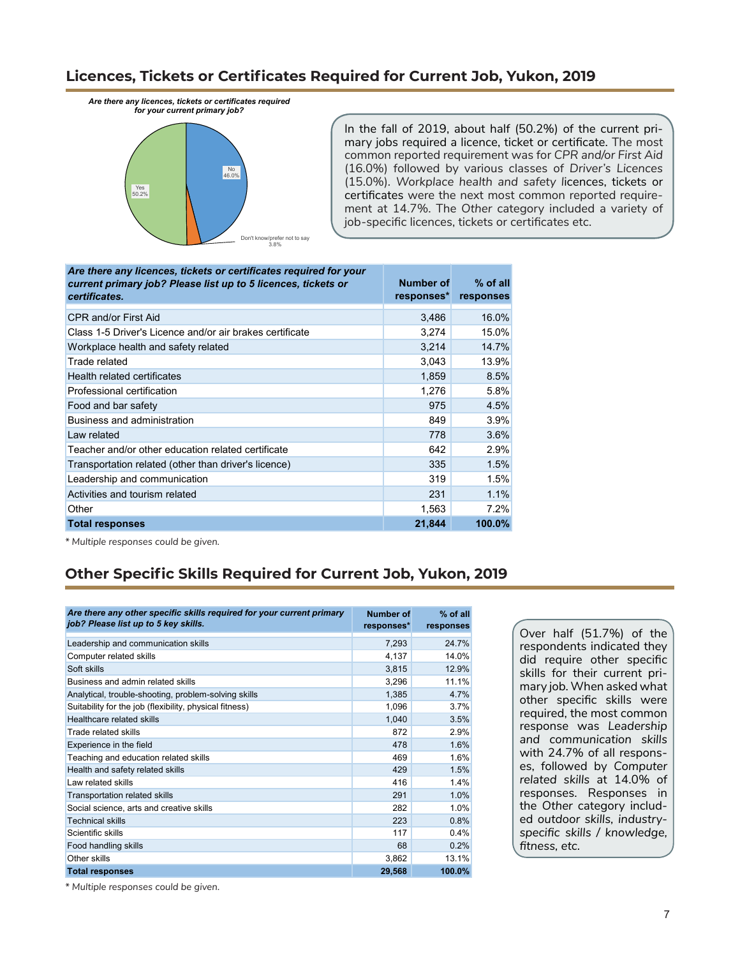### **Licences, Tickets or Certificates Required for Current Job, Yukon, 2019**

*Are there any licences, tickets or certificates required for your current primary job?* 



In the fall of 2019, about half (50.2%) of the current primary jobs required a licence, ticket or certificate. The most common reported requirement was for *CPR and/or First Aid* (16.0%) followed by various classes of *Driver's Licences*  (15.0%)*. Workplace health and safety l*icences, tickets or certificates were the next most common reported requirement at 14.7%. The *Other* category included a variety of job-specific licences, tickets or certificates etc.

| Are there any licences, tickets or certificates required for your<br>current primary job? Please list up to 5 licences, tickets or<br>certificates. | Number of<br>responses* | $%$ of all<br>responses |
|-----------------------------------------------------------------------------------------------------------------------------------------------------|-------------------------|-------------------------|
| <b>CPR and/or First Aid</b>                                                                                                                         | 3,486                   | 16.0%                   |
| Class 1-5 Driver's Licence and/or air brakes certificate                                                                                            | 3,274                   | 15.0%                   |
| Workplace health and safety related                                                                                                                 | 3,214                   | 14.7%                   |
| Trade related                                                                                                                                       | 3,043                   | 13.9%                   |
| Health related certificates                                                                                                                         | 1,859                   | 8.5%                    |
| Professional certification                                                                                                                          | 1.276                   | 5.8%                    |
| Food and bar safety                                                                                                                                 | 975                     | 4.5%                    |
| Business and administration                                                                                                                         | 849                     | 3.9%                    |
| Law related                                                                                                                                         | 778                     | 3.6%                    |
| Teacher and/or other education related certificate                                                                                                  | 642                     | 2.9%                    |
| Transportation related (other than driver's licence)                                                                                                | 335                     | 1.5%                    |
| Leadership and communication                                                                                                                        | 319                     | 1.5%                    |
| Activities and tourism related                                                                                                                      | 231                     | 1.1%                    |
| Other                                                                                                                                               | 1,563                   | 7.2%                    |
| <b>Total responses</b>                                                                                                                              | 21,844                  | 100.0%                  |

*\* Multiple responses could be given.*

# **Other Specific Skills Required for Current Job, Yukon, 2019**

| Are there any other specific skills required for your current primary<br>job? Please list up to 5 key skills. | Number of<br>responses* | $%$ of all<br>responses |
|---------------------------------------------------------------------------------------------------------------|-------------------------|-------------------------|
| Leadership and communication skills                                                                           | 7,293                   | 24.7%                   |
| Computer related skills                                                                                       | 4,137                   | 14.0%                   |
| Soft skills                                                                                                   | 3,815                   | 12.9%                   |
| Business and admin related skills                                                                             | 3,296                   | 11.1%                   |
| Analytical, trouble-shooting, problem-solving skills                                                          | 1,385                   | 4.7%                    |
| Suitability for the job (flexibility, physical fitness)                                                       | 1,096                   | 3.7%                    |
| Healthcare related skills                                                                                     | 1,040                   | 3.5%                    |
| Trade related skills                                                                                          | 872                     | 2.9%                    |
| Experience in the field                                                                                       | 478                     | 1.6%                    |
| Teaching and education related skills                                                                         | 469                     | 1.6%                    |
| Health and safety related skills                                                                              | 429                     | 1.5%                    |
| I aw related skills                                                                                           | 416                     | 1.4%                    |
| <b>Transportation related skills</b>                                                                          | 291                     | 1.0%                    |
| Social science, arts and creative skills                                                                      | 282                     | 1.0%                    |
| Technical skills                                                                                              | 223                     | 0.8%                    |
| Scientific skills                                                                                             | 117                     | 0.4%                    |
| Food handling skills                                                                                          | 68                      | 0.2%                    |
| Other skills                                                                                                  | 3,862                   | 13.1%                   |
| <b>Total responses</b>                                                                                        | 29,568                  | 100.0%                  |

Over half (51.7%) of the respondents indicated they did require other specific skills for their current primary job. When asked what other specific skills were required, the most common response was *Leadership and communication skills* with 24.7% of all responses, followed by *Computer related skills* at 14.0% of responses. Responses in the *Other* category included *outdoor skills, industryspecific skills / knowledge, fitness, etc.*

*\* Multiple responses could be given.*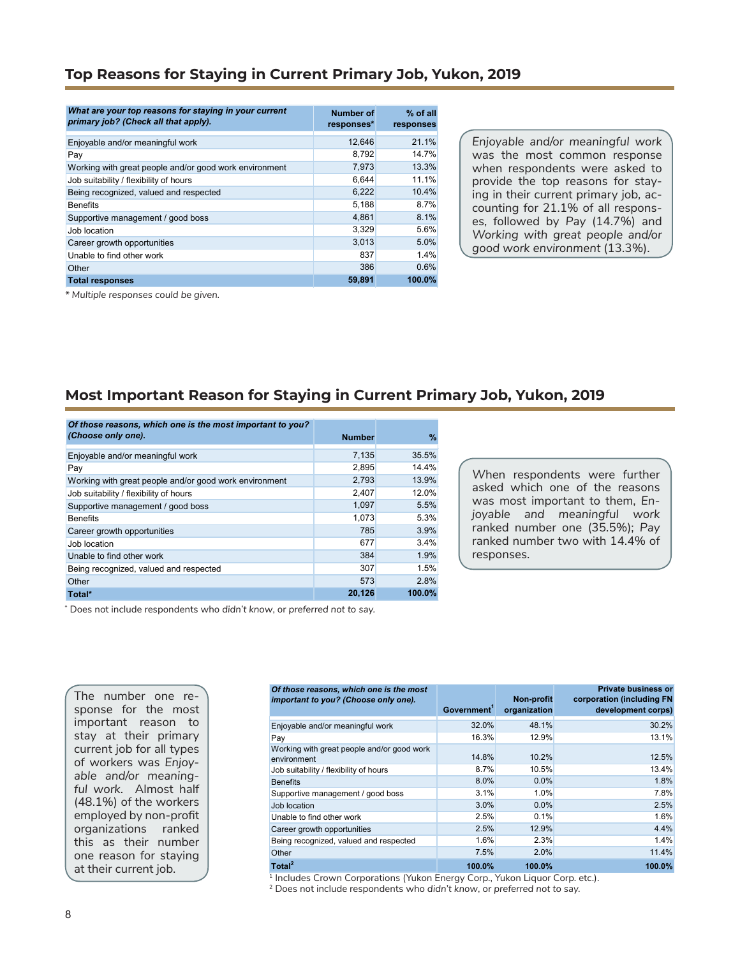#### **Top Reasons for Staying in Current Primary Job, Yukon, 2019**

| What are your top reasons for staying in your current<br>primary job? (Check all that apply). | Number of<br>responses* | $%$ of all<br>responses |
|-----------------------------------------------------------------------------------------------|-------------------------|-------------------------|
| Enjoyable and/or meaningful work                                                              | 12,646                  | 21.1%                   |
| Pay                                                                                           | 8.792                   | 14.7%                   |
| Working with great people and/or good work environment                                        | 7.973                   | 13.3%                   |
| Job suitability / flexibility of hours                                                        | 6.644                   | 11.1%                   |
| Being recognized, valued and respected                                                        | 6,222                   | 10.4%                   |
| <b>Benefits</b>                                                                               | 5,188                   | 8.7%                    |
| Supportive management / good boss                                                             | 4,861                   | 8.1%                    |
| Job location                                                                                  | 3,329                   | 5.6%                    |
| Career growth opportunities                                                                   | 3.013                   | 5.0%                    |
| Unable to find other work                                                                     | 837                     | 1.4%                    |
| Other                                                                                         | 386                     | 0.6%                    |
| <b>Total responses</b>                                                                        | 59,891                  | 100.0%                  |

*Enjoyable and/or meaningful work* was the most common response when respondents were asked to provide the top reasons for staying in their current primary job*,* accounting for 21.1% of all responses, followed by *Pay* (14.7%) and *Working with great people and/or good work environment* (13.3%).

*\* Multiple responses could be given.*

#### **Most Important Reason for Staying in Current Primary Job, Yukon, 2019**

| Of those reasons, which one is the most important to you? |               |        |
|-----------------------------------------------------------|---------------|--------|
| (Choose only one).                                        | <b>Number</b> | %      |
| Enjoyable and/or meaningful work                          | 7,135         | 35.5%  |
| Pay                                                       | 2,895         | 14.4%  |
| Working with great people and/or good work environment    | 2,793         | 13.9%  |
| Job suitability / flexibility of hours                    | 2,407         | 12.0%  |
| Supportive management / good boss                         | 1,097         | 5.5%   |
| <b>Benefits</b>                                           | 1.073         | 5.3%   |
| Career growth opportunities                               | 785           | 3.9%   |
| Job location                                              | 677           | 3.4%   |
| Unable to find other work                                 | 384           | 1.9%   |
| Being recognized, valued and respected                    | 307           | 1.5%   |
| Other                                                     | 573           | 2.8%   |
| Total*                                                    | 20,126        | 100.0% |

*W*hen respondents were further asked which one of the reasons was most important to them, *Enjoyable and meaningful work*  ranked number one (35.5%); *Pay*  ranked number two with 14.4% of responses.

\* Does not include respondents who *didn't know*, or *preferred not to say.*

| The number one re-<br>sponse for the most          | Of those reasons, which one is the most<br>important to you? (Choose only one). | Government' | Non-profit<br>organization | <b>Private business or</b><br>corporation (including FN<br>development corps) |
|----------------------------------------------------|---------------------------------------------------------------------------------|-------------|----------------------------|-------------------------------------------------------------------------------|
| important reason<br>to                             | Enjoyable and/or meaningful work                                                | 32.0%       | 48.1%                      | 30.2%                                                                         |
| stay at their primary                              | Pay                                                                             | 16.3%       | 12.9%                      | 13.1%                                                                         |
| current job for all types<br>of workers was Enjoy- | Working with great people and/or good work<br>environment                       | 14.8%       | 10.2%                      | 12.5%                                                                         |
|                                                    | Job suitability / flexibility of hours                                          | 8.7%        | 10.5%                      | 13.4%                                                                         |
| able and/or meaning-                               | <b>Benefits</b>                                                                 | 8.0%        | 0.0%                       | 1.8%                                                                          |
| ful work. Almost half                              | Supportive management / good boss                                               | 3.1%        | 1.0%                       | 7.8%                                                                          |
| (48.1%) of the workers                             | Job location                                                                    | 3.0%        | 0.0%                       | 2.5%                                                                          |
| employed by non-profit                             | Unable to find other work                                                       | 2.5%        | 0.1%                       | 1.6%                                                                          |
| organizations<br>ranked                            | Career growth opportunities                                                     | 2.5%        | 12.9%                      | 4.4%                                                                          |
| this as their number                               | Being recognized, valued and respected                                          | 1.6%        | 2.3%                       | 1.4%                                                                          |
| one reason for staying                             | Other                                                                           | 7.5%        | 2.0%                       | 11.4%                                                                         |
| at their current job.                              | Total <sup>2</sup>                                                              | 100.0%      | 100.0%                     | 100.0%                                                                        |
|                                                    | Includes Crown Corporations (Yukon Energy Corp., Yukon Liquor Corp. etc.).      |             |                            |                                                                               |

2 Does not include respondents who *didn't know*, or *preferred not to say.*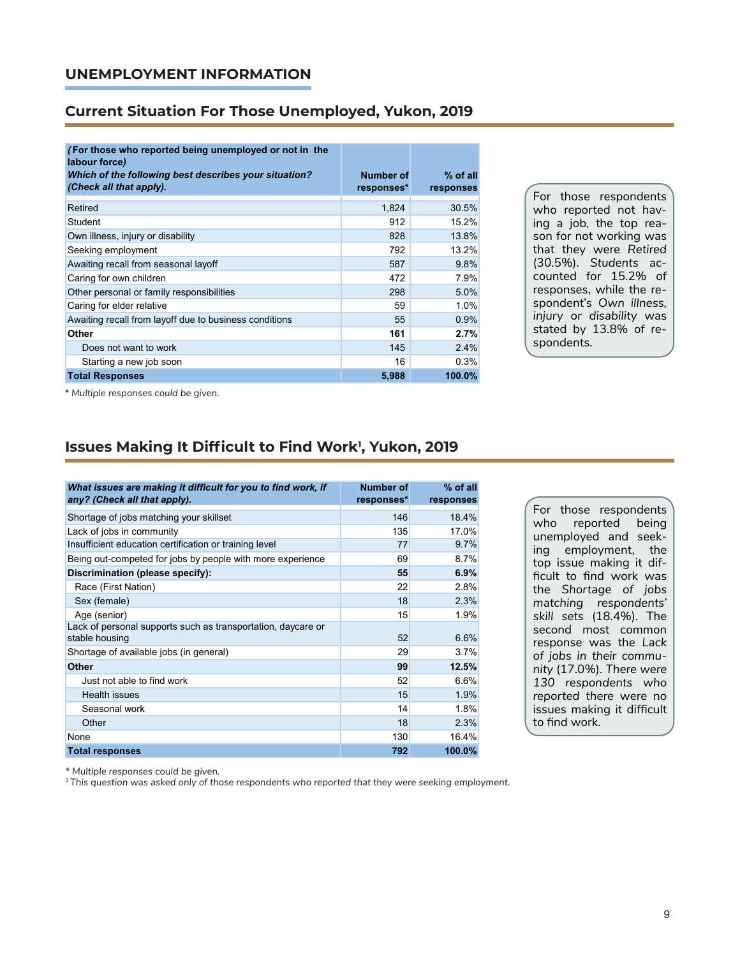#### **UNEMPLOYMENT INFORMATION**

#### **Current Situation For Those Unemployed, Yukon, 2019**

| (For those who reported being unemployed or not in the<br>labour force) |            |            |
|-------------------------------------------------------------------------|------------|------------|
| Which of the following best describes your situation?                   | Number of  | $%$ of all |
| (Check all that apply).                                                 | responses* | responses  |
| Retired                                                                 | 1,824      | 30.5%      |
| Student                                                                 | 912        | 15.2%      |
| Own illness, injury or disability                                       | 828        | 13.8%      |
| Seeking employment                                                      | 792        | 13.2%      |
| Awaiting recall from seasonal layoff                                    | 587        | 9.8%       |
| Caring for own children                                                 | 472        | 7.9%       |
| Other personal or family responsibilities                               | 298        | 5.0%       |
| Caring for elder relative                                               | 59         | 1.0%       |
| Awaiting recall from layoff due to business conditions                  | 55         | 0.9%       |
| Other                                                                   | 161        | 2.7%       |
| Does not want to work                                                   | 145        | 2.4%       |
| Starting a new job soon                                                 | 16         | 0.3%       |
| <b>Total Responses</b>                                                  | 5,988      | 100.0%     |

For those respondents who reported not having a job, the top reason for not working was that they were *Retired* (30.5%). *Students* accounted for 15.2% of responses, while the respondent's *Own illness, injury or disability* was stated by 13.8% of respondents.

*\* Multiple responses could be given.*

## **Issues Making It Difficult to Find Work<sup>1</sup> , Yukon, 2019**

| What issues are making it difficult for you to find work, if<br>any? (Check all that apply). | <b>Number of</b><br>responses* | % of all<br>responses |
|----------------------------------------------------------------------------------------------|--------------------------------|-----------------------|
| Shortage of jobs matching your skillset                                                      | 146                            | 18.4%                 |
| Lack of jobs in community                                                                    | 135                            | 17.0%                 |
| Insufficient education certification or training level                                       | 77                             | 9.7%                  |
| Being out-competed for jobs by people with more experience                                   | 69                             | 8.7%                  |
| Discrimination (please specify):                                                             | 55                             | 6.9%                  |
| Race (First Nation)                                                                          | 22                             | 2.8%                  |
| Sex (female)                                                                                 | 18                             | 2.3%                  |
| Age (senior)                                                                                 | 15                             | 1.9%                  |
| Lack of personal supports such as transportation, daycare or<br>stable housing               | 52                             | 6.6%                  |
| Shortage of available jobs (in general)                                                      | 29                             | 3.7%                  |
| <b>Other</b>                                                                                 | 99                             | 12.5%                 |
| Just not able to find work                                                                   | 52                             | 6.6%                  |
| Health issues                                                                                | 15                             | 1.9%                  |
| Seasonal work                                                                                | 14                             | 1.8%                  |
| Other                                                                                        | 18                             | 2.3%                  |
| None                                                                                         | 130                            | 16.4%                 |
| <b>Total responses</b>                                                                       | 792                            | 100.0%                |

For those respondents who reported being unemployed and seeking employment, the top issue making it difficult to find work was the *Shortage of jobs matching respondents' skill sets* (18.4%). The second most common response was the *Lack of jobs in their community* (17.0%)*. There were 130 respondents who reported there* were no issues making it difficult to find work.

*\* Multiple responses could be given.*

*1 This question was asked only of those respondents who reported that they were seeking employment.*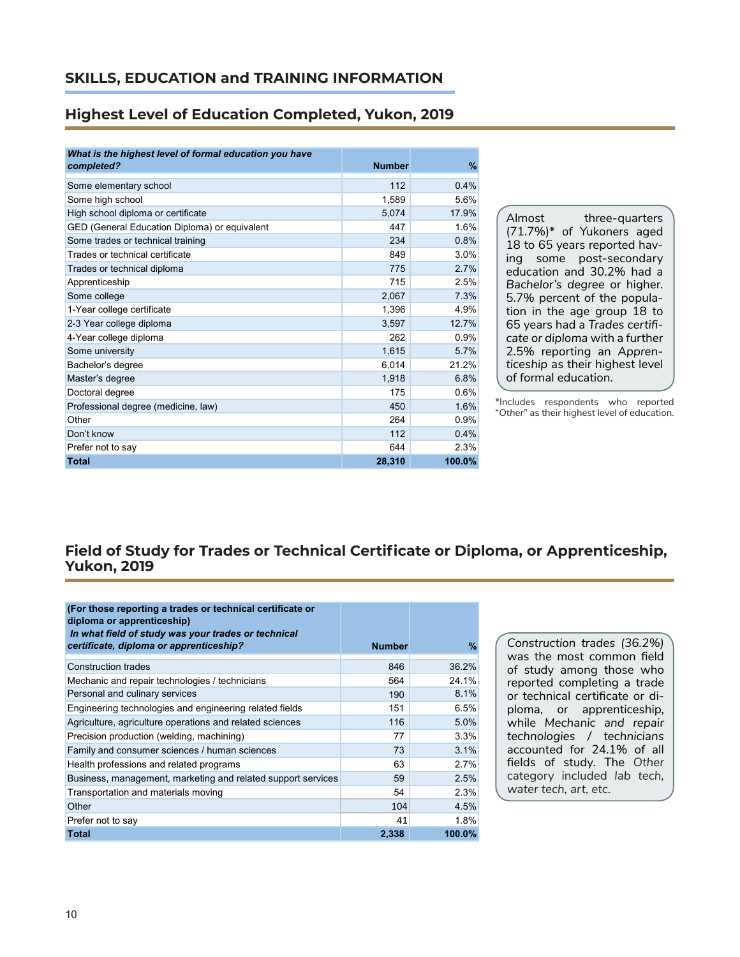### **Highest Level of Education Completed, Yukon, 2019**

| What is the highest level of formal education you have |               |        |  |  |
|--------------------------------------------------------|---------------|--------|--|--|
| completed?                                             | <b>Number</b> | $\%$   |  |  |
| Some elementary school                                 | 112           | 0.4%   |  |  |
| Some high school                                       | 1,589         | 5.6%   |  |  |
| High school diploma or certificate                     | 5,074         | 17.9%  |  |  |
| GED (General Education Diploma) or equivalent          | 447           | 1.6%   |  |  |
| Some trades or technical training                      | 234           | 0.8%   |  |  |
| Trades or technical certificate                        | 849           | 3.0%   |  |  |
| Trades or technical diploma                            | 775           | 2.7%   |  |  |
| Apprenticeship                                         | 715           | 2.5%   |  |  |
| Some college                                           | 2,067         | 7.3%   |  |  |
| 1-Year college certificate                             | 1,396         | 4.9%   |  |  |
| 2-3 Year college diploma                               | 3,597         | 12.7%  |  |  |
| 4-Year college diploma                                 | 262           | 0.9%   |  |  |
| Some university                                        | 1,615         | 5.7%   |  |  |
| Bachelor's degree                                      | 6,014         | 21.2%  |  |  |
| Master's degree                                        | 1,918         | 6.8%   |  |  |
| Doctoral degree                                        | 175           | 0.6%   |  |  |
| Professional degree (medicine, law)                    | 450           | 1.6%   |  |  |
| Other                                                  | 264           | 0.9%   |  |  |
| Don't know                                             | 112           | 0.4%   |  |  |
| Prefer not to say                                      | 644           | 2.3%   |  |  |
| Total                                                  | 28,310        | 100.0% |  |  |

Almost three-quarters (71.7%)\* of Yukoners aged 18 to 65 years reported having some post-secondary education and 30.2% had a *Bachelor's degree* or higher. 5.7% percent of the population in the age group 18 to 65 years had a *Trades certificate or diploma* with a further 2.5% reporting an *Apprenticeship* as their highest level of formal education.

\*Includes respondents who reported "*Other*" as their highest level of education.

## **Field of Study for Trades or Technical Certificate or Diploma, or Apprenticeship, Yukon, 2019**

| (For those reporting a trades or technical certificate or<br>diploma or apprenticeship)<br>In what field of study was your trades or technical<br>certificate, diploma or apprenticeship? | <b>Number</b> | $\%$   |
|-------------------------------------------------------------------------------------------------------------------------------------------------------------------------------------------|---------------|--------|
|                                                                                                                                                                                           |               |        |
| <b>Construction trades</b>                                                                                                                                                                | 846           | 36.2%  |
| Mechanic and repair technologies / technicians                                                                                                                                            | 564           | 24.1%  |
| Personal and culinary services                                                                                                                                                            | 190           | 8.1%   |
| Engineering technologies and engineering related fields                                                                                                                                   | 151           | 6.5%   |
| Agriculture, agriculture operations and related sciences                                                                                                                                  | 116           | 5.0%   |
| Precision production (welding, machining)                                                                                                                                                 | 77            | 3.3%   |
| Family and consumer sciences / human sciences                                                                                                                                             | 73            | 3.1%   |
| Health professions and related programs                                                                                                                                                   | 63            | 2.7%   |
| Business, management, marketing and related support services                                                                                                                              | 59            | 2.5%   |
| Transportation and materials moving                                                                                                                                                       | 54            | 2.3%   |
| Other                                                                                                                                                                                     | 104           | 4.5%   |
| Prefer not to say                                                                                                                                                                         | 41            | 1.8%   |
| <b>Total</b>                                                                                                                                                                              | 2,338         | 100.0% |

*Construction trades (36.2%)* was the most common field of study among those who reported completing a trade or technical certificate or diploma, or apprenticeship, while *Mechanic and repair technologies / technicians* accounted for 24.1% of all fields of study. The *Other* category included *lab tech, water tech, art, etc.*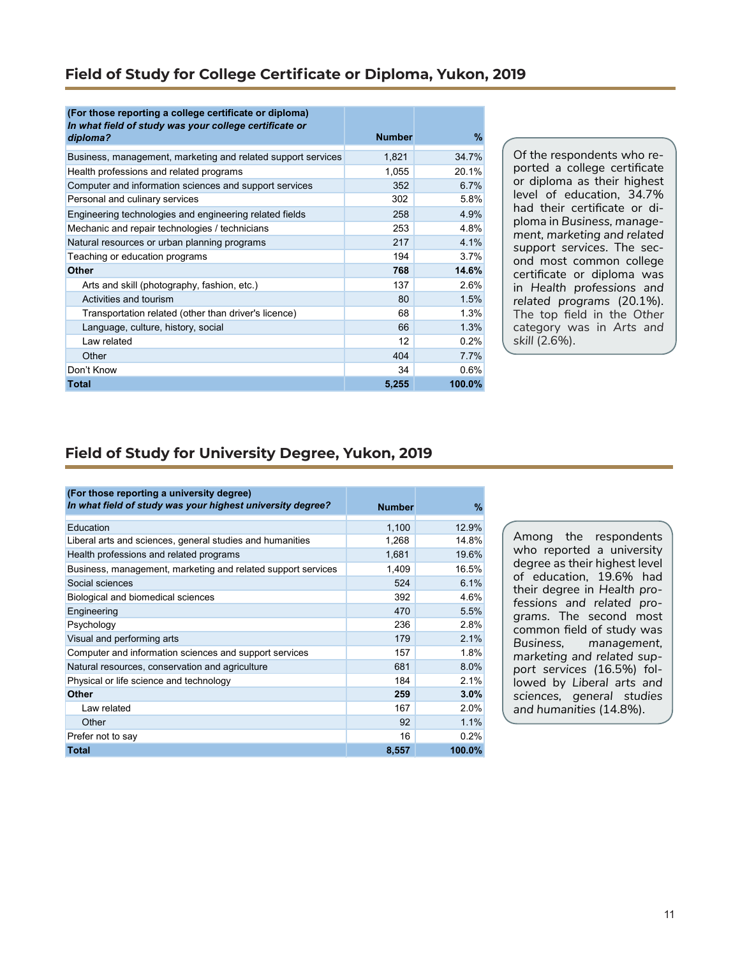## **Field of Study for College Certificate or Diploma, Yukon, 2019**

| (For those reporting a college certificate or diploma)<br>In what field of study was your college certificate or | <b>Number</b> | $\%$   |
|------------------------------------------------------------------------------------------------------------------|---------------|--------|
| diploma?                                                                                                         |               |        |
| Business, management, marketing and related support services                                                     | 1,821         | 34.7%  |
| Health professions and related programs                                                                          | 1,055         | 20.1%  |
| Computer and information sciences and support services                                                           | 352           | 6.7%   |
| Personal and culinary services                                                                                   | 302           | 5.8%   |
| Engineering technologies and engineering related fields                                                          | 258           | 4.9%   |
| Mechanic and repair technologies / technicians                                                                   | 253           | 4.8%   |
| Natural resources or urban planning programs                                                                     | 217           | 4.1%   |
| Teaching or education programs                                                                                   | 194           | 3.7%   |
| <b>Other</b>                                                                                                     | 768           | 14.6%  |
| Arts and skill (photography, fashion, etc.)                                                                      | 137           | 2.6%   |
| Activities and tourism                                                                                           | 80            | 1.5%   |
| Transportation related (other than driver's licence)                                                             | 68            | 1.3%   |
| Language, culture, history, social                                                                               | 66            | 1.3%   |
| Law related                                                                                                      | 12            | 0.2%   |
| Other                                                                                                            | 404           | 7.7%   |
| Don't Know                                                                                                       | 34            | 0.6%   |
| Total                                                                                                            | 5,255         | 100.0% |

Of the respondents who reported a college certificate or diploma as their highest level of education, 34.7% had their certificate or diploma in *Business, management, marketing and related support services*. The second most common college certificate or diploma was in *Health professions and related programs* (20.1%)*.*  The top field in the *Other* category was in *Arts and skill* (2.6%).

## **Field of Study for University Degree, Yukon, 2019**

| (For those reporting a university degree)<br>In what field of study was your highest university degree? | <b>Number</b> | $\frac{9}{6}$ |
|---------------------------------------------------------------------------------------------------------|---------------|---------------|
| Education                                                                                               | 1,100         | 12.9%         |
| Liberal arts and sciences, general studies and humanities                                               | 1,268         | 14.8%         |
| Health professions and related programs                                                                 | 1,681         | 19.6%         |
| Business, management, marketing and related support services                                            | 1,409         | 16.5%         |
| Social sciences                                                                                         | 524           | 6.1%          |
| Biological and biomedical sciences                                                                      | 392           | 4.6%          |
| Engineering                                                                                             | 470           | 5.5%          |
| Psychology                                                                                              | 236           | 2.8%          |
| Visual and performing arts                                                                              | 179           | 2.1%          |
| Computer and information sciences and support services                                                  | 157           | 1.8%          |
| Natural resources, conservation and agriculture                                                         | 681           | 8.0%          |
| Physical or life science and technology                                                                 | 184           | 2.1%          |
| <b>Other</b>                                                                                            | 259           | 3.0%          |
| Law related                                                                                             | 167           | 2.0%          |
| Other                                                                                                   | 92            | 1.1%          |
| Prefer not to say                                                                                       | 16            | 0.2%          |
| <b>Total</b>                                                                                            | 8,557         | 100.0%        |

Among the respondents who reported a university degree as their highest level of education, 19.6% had their degree in *Health professions and related programs*. The second most common field of study was *Business, management, marketing and related support services (*16.5%) followed by *Liberal arts and sciences, general studies and humanities* (14.8%).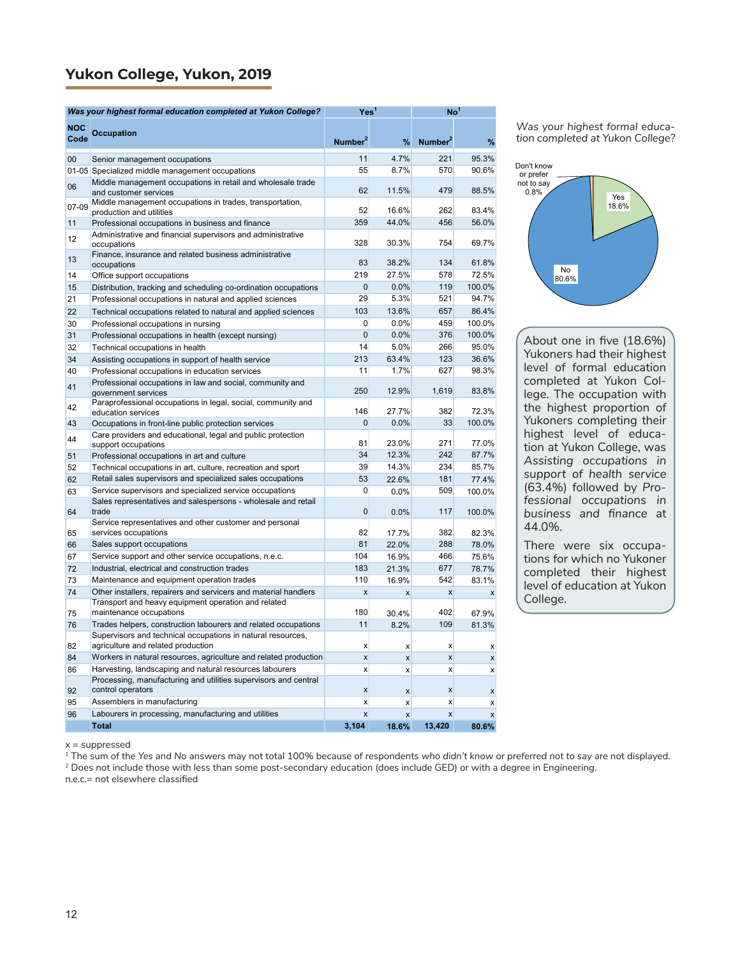## **Yukon College, Yukon, 2019**

|       | Was your highest formal education completed at Yukon College?                      | Yes <sup>1</sup>          |                  | $\mathsf{No}^\mathsf{T}$ |                  |
|-------|------------------------------------------------------------------------------------|---------------------------|------------------|--------------------------|------------------|
| NOC   |                                                                                    |                           |                  |                          |                  |
| Code  | <b>Occupation</b>                                                                  | Number <sup>2</sup>       | %                | Number <sup>2</sup>      | %                |
| 00    | Senior management occupations                                                      | 11                        | 4.7%             | 221                      | 95.3%            |
|       | 01-05 Specialized middle management occupations                                    | 55                        | 8.7%             | 570                      | 90.6%            |
| 06    | Middle management occupations in retail and wholesale trade                        | 62                        | 11.5%            | 479                      | 88.5%            |
|       | and customer services<br>Middle management occupations in trades, transportation,  |                           |                  |                          |                  |
| 07-09 | production and utilities                                                           | 52                        | 16.6%            | 262                      | 83.4%            |
| 11    | Professional occupations in business and finance                                   | 359                       | 44.0%            | 456                      | 56.0%            |
| 12    | Administrative and financial supervisors and administrative<br>occupations         | 328                       | 30.3%            | 754                      | 69.7%            |
| 13    | Finance, insurance and related business administrative<br>occupations              | 83                        | 38.2%            | 134                      | 61.8%            |
| 14    | Office support occupations                                                         | 219                       | 27.5%            | 578                      | 72.5%            |
| 15    | Distribution, tracking and scheduling co-ordination occupations                    | $\overline{0}$            | 0.0%             | 119                      | 100.0%           |
| 21    | Professional occupations in natural and applied sciences                           | 29                        | 5.3%             | 521                      | 94.7%            |
| 22    | Technical occupations related to natural and applied sciences                      | 103                       | 13.6%            | 657                      | 86.4%            |
| 30    | Professional occupations in nursing                                                | $\overline{0}$            | 0.0%             | 459                      | 100.0%           |
| 31    | Professional occupations in health (except nursing)                                | $\overline{0}$            | 0.0%             | 376                      | 100.0%           |
| 32    | Technical occupations in health                                                    | 14                        | 5.0%             | 266                      | 95.0%            |
| 34    | Assisting occupations in support of health service                                 | 213                       | 63.4%            | 123                      | 36.6%            |
| 40    | Professional occupations in education services                                     | 11                        | 1.7%             | 627                      | 98.3%            |
| 41    | Professional occupations in law and social, community and<br>government services   | 250                       | 12.9%            | 1,619                    | 83.8%            |
| 42    | Paraprofessional occupations in legal, social, community and<br>education services | 146                       | 27.7%            | 382                      | 72.3%            |
| 43    | Occupations in front-line public protection services                               | $\Omega$                  | 0.0%             | 33                       | 100.0%           |
| 44    | Care providers and educational, legal and public protection<br>support occupations | 81                        | 23.0%            | 271                      | 77.0%            |
| 51    | Professional occupations in art and culture                                        | 34                        | 12.3%            | 242                      | 87.7%            |
| 52    | Technical occupations in art, culture, recreation and sport                        | 39                        | 14.3%            | 234                      | 85.7%            |
| 62    | Retail sales supervisors and specialized sales occupations                         | 53                        | 22.6%            | 181                      | 77.4%            |
| 63    | Service supervisors and specialized service occupations                            | 0                         | 0.0%             | 509                      | 100.0%           |
| 64    | Sales representatives and salespersons - wholesale and retail<br>trade             | $\mathbf 0$               | $0.0\%$          | 117                      | 100.0%           |
|       | Service representatives and other customer and personal                            |                           |                  |                          |                  |
| 65    | services occupations                                                               | 82                        | 17.7%            | 382                      | 82.3%            |
| 66    | Sales support occupations                                                          | 81                        | 22.0%            | 288                      | 78.0%            |
| 67    | Service support and other service occupations, n.e.c.                              | 104                       | 16.9%            | 466                      | 75.6%            |
| 72    | Industrial, electrical and construction trades                                     | 183                       | 21.3%            | 677                      | 78.7%            |
| 73    | Maintenance and equipment operation trades                                         | 110                       | 16.9%            | 542                      | 83.1%            |
| 74    | Other installers, repairers and servicers and material handlers                    | $\mathsf{x}$              | X                | X                        | $\mathsf{x}$     |
| 75    | Transport and heavy equipment operation and related<br>maintenance occupations     | 180                       | 30.4%            | 402                      | 67.9%            |
| 76    | Trades helpers, construction labourers and related occupations                     | 11                        | 8.2%             | 109                      | 81.3%            |
|       | Supervisors and technical occupations in natural resources,                        |                           |                  |                          |                  |
| 82    | agriculture and related production                                                 | X                         | X                | X                        | X                |
| 84    | Workers in natural resources, agriculture and related production                   | $\boldsymbol{\mathsf{x}}$ | $\mathsf{x}$     | X                        | $\boldsymbol{x}$ |
| 86    | Harvesting, landscaping and natural resources labourers                            | X                         | x                | x                        | $\boldsymbol{x}$ |
|       | Processing, manufacturing and utilities supervisors and central                    |                           |                  |                          |                  |
| 92    | control operators                                                                  | X                         | $\mathsf{x}$     | X                        | x                |
| 95    | Assemblers in manufacturing                                                        | x                         | $\boldsymbol{x}$ | X                        | $\boldsymbol{x}$ |
| 96    | Labourers in processing, manufacturing and utilities<br><b>Total</b>               | $\mathsf{x}$<br>3,104     | x                | X<br>13,420              | $\mathsf{x}$     |
|       |                                                                                    |                           | 18.6%            |                          | 80.6%            |

*Was your highest formal education completed at Yukon College?*



About one in five (18.6%) Yukoners had their highest level of formal education completed at Yukon College. The occupation with the highest proportion of Yukoners completing their highest level of education at Yukon College, was *Assisting occupations in support of health service*  (63.4%) followed by *Professional occupations in business and finance* at 44.0%.

There were six occupations for which no Yukoner completed their highest level of education at Yukon College.

 $x =$ suppressed

1 The sum of the *Yes* and *No* answers may not total 100% because of respondents *who didn't know* or *preferred not to say* are not displayed.

<sup>2</sup> Does not include those with less than some post-secondary education (does include GED) or with a degree in Engineering.

n.e.c.= not elsewhere classified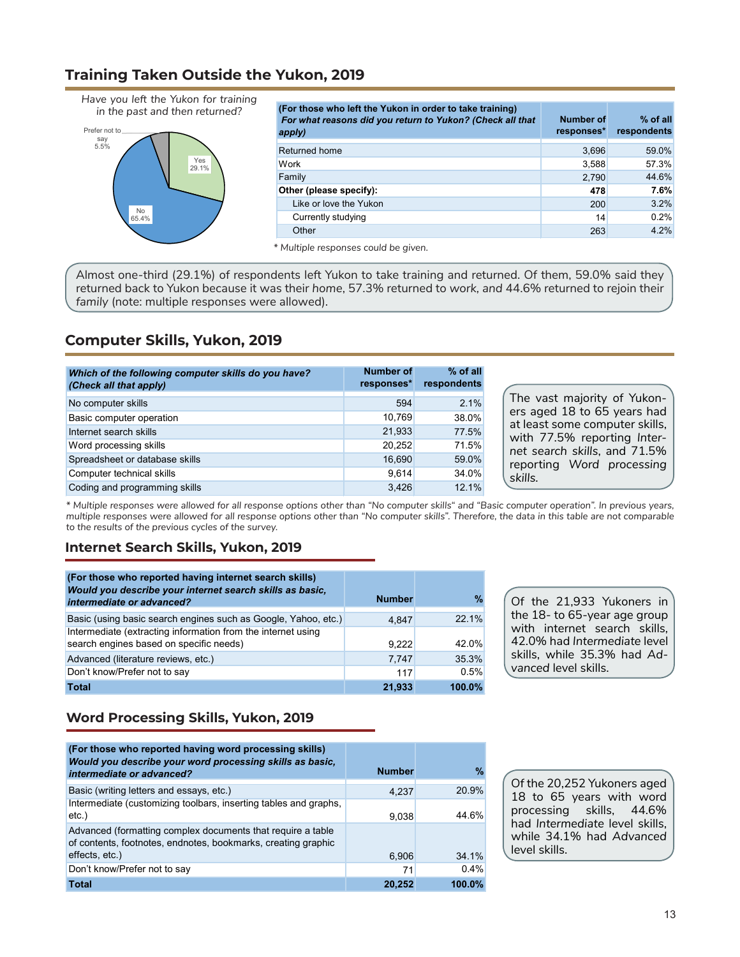## **Training Taken Outside the Yukon, 2019**

*Have you left the Yukon for training in the past and then returned?*



| (For those who left the Yukon in order to take training)<br>For what reasons did you return to Yukon? (Check all that<br>apply) | Number of<br>responses* | $%$ of all<br>respondents |
|---------------------------------------------------------------------------------------------------------------------------------|-------------------------|---------------------------|
| Returned home                                                                                                                   | 3,696                   | 59.0%                     |
| Work                                                                                                                            | 3,588                   | 57.3%                     |
| Family                                                                                                                          | 2,790                   | 44.6%                     |
| Other (please specify):                                                                                                         | 478                     | 7.6%                      |
| Like or love the Yukon                                                                                                          | 200                     | 3.2%                      |
| Currently studying                                                                                                              | 14                      | 0.2%                      |
| Other                                                                                                                           | 263                     | 4.2%                      |

*\* Multiple responses could be given.*

Almost one-third (29.1%) of respondents left Yukon to take training and returned. Of them, 59.0% said they returned back to Yukon because it was their *home*, 57.3% returned to *work, and* 44.6% returned to rejoin their *family* (note: multiple responses were allowed).

# **Computer Skills, Yukon, 2019**

| Which of the following computer skills do you have?<br>(Check all that apply) | <b>Number of</b><br>responses* | $%$ of all<br>respondents |
|-------------------------------------------------------------------------------|--------------------------------|---------------------------|
| No computer skills                                                            | 594                            | 2.1%                      |
| Basic computer operation                                                      | 10.769                         | 38.0%                     |
| Internet search skills                                                        | 21.933                         | 77.5%                     |
| Word processing skills                                                        | 20.252                         | 71.5%                     |
| Spreadsheet or database skills                                                | 16,690                         | 59.0%                     |
| Computer technical skills                                                     | 9.614                          | 34.0%                     |
| Coding and programming skills                                                 | 3.426                          | 12.1%                     |

The vast majority of Yukoners aged 18 to 65 years had at least some computer skills, with 77.5% reporting *Internet search skills*, and 71.5% reporting *Word processing skills.*

*\* Multiple responses were allowed for all response options other than "No computer skills" and "Basic computer operation". In previous years,*  multiple responses were allowed for all response options other than "No computer skills". Therefore, the data in this table are not comparable *to the results of the previous cycles of the survey.*

#### **Internet Search Skills, Yukon, 2019**

| (For those who reported having internet search skills)<br>Would you describe your internet search skills as basic,<br>intermediate or advanced? | <b>Number</b> | %      |
|-------------------------------------------------------------------------------------------------------------------------------------------------|---------------|--------|
| Basic (using basic search engines such as Google, Yahoo, etc.)                                                                                  | 4.847         | 22.1%  |
| Intermediate (extracting information from the internet using<br>search engines based on specific needs)                                         | 9.222         | 42.0%  |
| Advanced (literature reviews, etc.)                                                                                                             | 7.747         | 35.3%  |
| Don't know/Prefer not to say                                                                                                                    | 117           | 0.5%   |
| <b>Total</b>                                                                                                                                    | 21.933        | 100.0% |

Of the 21,933 Yukoners in the 18- to 65-year age group with internet search skills*,* 42.0% had *Intermediate* level skills, while 35.3% had *Advanced* level skills.

# **Word Processing Skills, Yukon, 2019**

| (For those who reported having word processing skills)<br>Would you describe your word processing skills as basic,<br>intermediate or advanced? | <b>Number</b> | $\%$   |
|-------------------------------------------------------------------------------------------------------------------------------------------------|---------------|--------|
| Basic (writing letters and essays, etc.)                                                                                                        | 4.237         | 20.9%  |
| Intermediate (customizing toolbars, inserting tables and graphs,<br>etc.)                                                                       | 9,038         | 44.6%  |
| Advanced (formatting complex documents that require a table<br>of contents, footnotes, endnotes, bookmarks, creating graphic                    |               |        |
| effects, etc.)                                                                                                                                  | 6,906         | 34.1%  |
| Don't know/Prefer not to say                                                                                                                    | 71            | 0.4%   |
| <b>Total</b>                                                                                                                                    | 20,252        | 100.0% |

Of the 20,252 Yukoners aged 18 to 65 years with word processing skills, 44.6% had *Intermediate* level skills, while 34.1% had *Advanced*  level skills.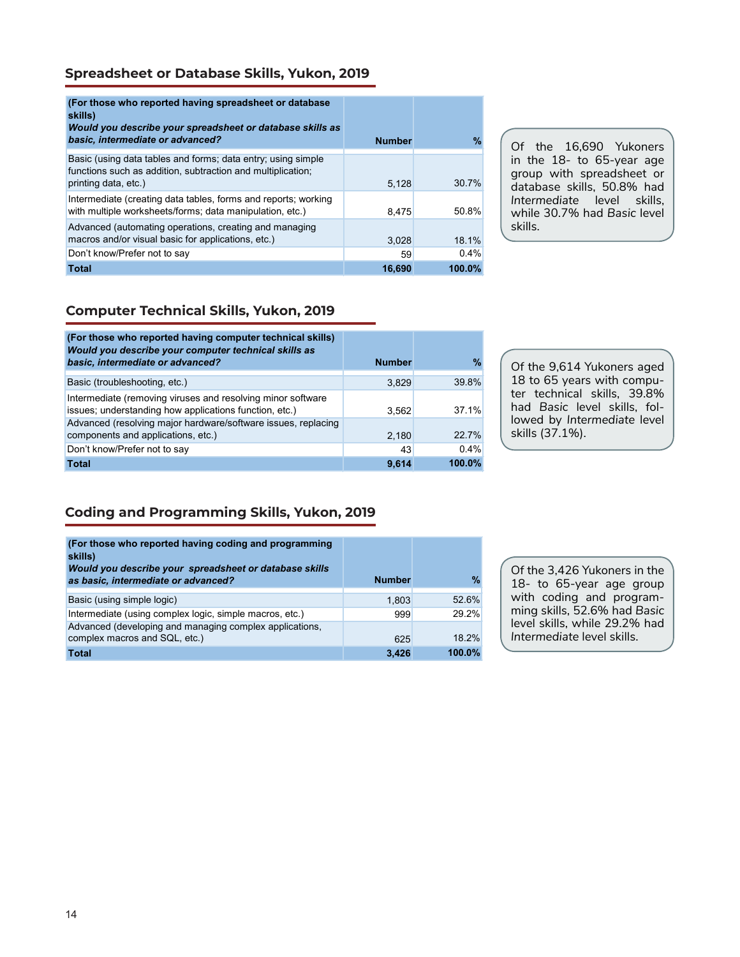#### **Spreadsheet or Database Skills, Yukon, 2019**

| (For those who reported having spreadsheet or database)<br>skills)<br>Would you describe your spreadsheet or database skills as<br>basic, intermediate or advanced? | <b>Number</b> | %         |
|---------------------------------------------------------------------------------------------------------------------------------------------------------------------|---------------|-----------|
| Basic (using data tables and forms; data entry; using simple<br>functions such as addition, subtraction and multiplication;<br>printing data, etc.)                 | 5.128         | 30.7%     |
| Intermediate (creating data tables, forms and reports; working<br>with multiple worksheets/forms; data manipulation, etc.)                                          | 8.475         | 50.8%     |
| Advanced (automating operations, creating and managing<br>macros and/or visual basic for applications, etc.)                                                        | 3,028         | 18.1%     |
| Don't know/Prefer not to say                                                                                                                                        | 59            | $0.4\%$   |
| <b>Total</b>                                                                                                                                                        | 16.690        | $100.0\%$ |

Of the 16,690 Yukoners in the 18- to 65-year age group with spreadsheet or database skills, 50.8% had *Intermediate* level skills, while 30.7% had *Basic* level skills.

#### **Computer Technical Skills, Yukon, 2019**

| (For those who reported having computer technical skills)<br>Would you describe your computer technical skills as<br>basic, intermediate or advanced? | <b>Number</b> | %       |
|-------------------------------------------------------------------------------------------------------------------------------------------------------|---------------|---------|
| Basic (troubleshooting, etc.)                                                                                                                         | 3.829         | 39.8%   |
| Intermediate (removing viruses and resolving minor software<br>issues; understanding how applications function, etc.)                                 | 3.562         | 371%    |
| Advanced (resolving major hardware/software issues, replacing<br>components and applications, etc.)                                                   | 2,180         | 22.7%   |
| Don't know/Prefer not to say                                                                                                                          | 43            | $0.4\%$ |
| <b>Total</b>                                                                                                                                          | 9.614         | 100.0%  |

Of the 9,614 Yukoners aged 18 to 65 years with computer technical skills, 39.8% had *Basic* level skills, followed by *Intermediate* level skills (37.1%).

## **Coding and Programming Skills, Yukon, 2019**

| (For those who reported having coding and programming<br>skills)<br>Would you describe your spreadsheet or database skills<br>as basic, intermediate or advanced? | <b>Number</b> | %      |
|-------------------------------------------------------------------------------------------------------------------------------------------------------------------|---------------|--------|
| Basic (using simple logic)                                                                                                                                        | 1,803         | 52.6%  |
| Intermediate (using complex logic, simple macros, etc.)                                                                                                           | 999           | 29.2%  |
| Advanced (developing and managing complex applications,<br>complex macros and SQL, etc.)                                                                          | 625           | 18.2%  |
| <b>Total</b>                                                                                                                                                      | 3,426         | 100.0% |

Of the 3,426 Yukoners in the 18- to 65-year age group with coding and programming skills, 52.6% had *Basic*  level skills, while 29.2% had *Intermediate* level skills.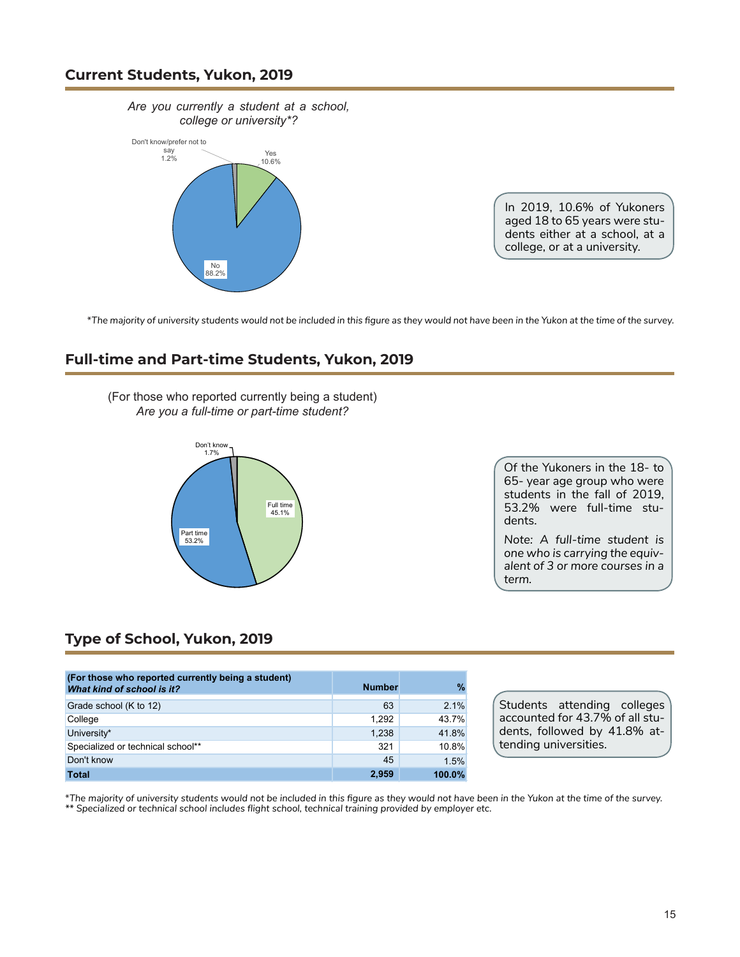#### **Current Students, Yukon, 2019**



In 2019, 10.6% of Yukoners aged 18 to 65 years were students either at a school, at a college, or at a university.

\*The majority of university students would not be included in this figure as they would not have been in the Yukon at the time of the survey.

## **Full-time and Part-time Students, Yukon, 2019**

(For those who reported currently being a student) *Are you a full-time or part-time student?*



Of the Yukoners in the 18- to 65- year age group who were students in the fall of 2019, 53.2% were full-time students.

*Note: A full-time student is one who is carrying the equivalent of 3 or more courses in a term.*

#### **Type of School, Yukon, 2019**

| (For those who reported currently being a student)<br>What kind of school is it? | <b>Number</b> | $\%$   |
|----------------------------------------------------------------------------------|---------------|--------|
| Grade school (K to 12)                                                           | 63            | 2.1%   |
| College                                                                          | 1.292         | 43.7%  |
| University*                                                                      | 1.238         | 41.8%  |
| Specialized or technical school**                                                | 321           | 10.8%  |
| Don't know                                                                       | 45            | 1.5%   |
| <b>Total</b>                                                                     | 2.959         | 100.0% |

Students attending colleges accounted for 43.7% of all students, followed by 41.8% attending universities.

\*The majority of university students would not be included in this figure as they would not have been in the Yukon at the time of the survey.

*\*\* Specialized or technical school includes flight school, technical training provided by employer etc.*